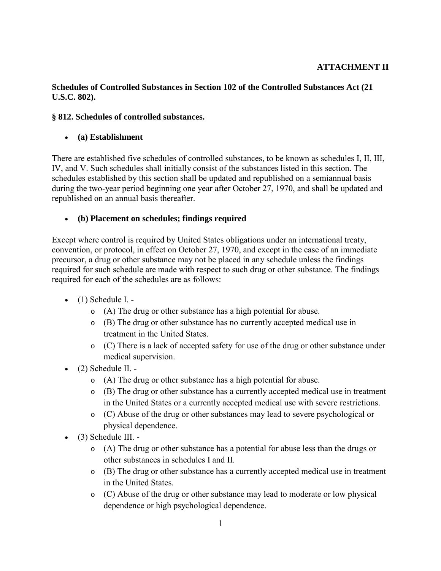## **ATTACHMENT II**

#### **Schedules of Controlled Substances in Section 102 of the Controlled Substances Act (21 U.S.C. 802).**

#### **§ 812. Schedules of controlled substances.**

#### • **(a) Establishment**

There are established five schedules of controlled substances, to be known as schedules I, II, III, IV, and V. Such schedules shall initially consist of the substances listed in this section. The schedules established by this section shall be updated and republished on a semiannual basis during the two-year period beginning one year after October 27, 1970, and shall be updated and republished on an annual basis thereafter.

#### • **(b) Placement on schedules; findings required**

Except where control is required by United States obligations under an international treaty, convention, or protocol, in effect on October 27, 1970, and except in the case of an immediate precursor, a drug or other substance may not be placed in any schedule unless the findings required for such schedule are made with respect to such drug or other substance. The findings required for each of the schedules are as follows:

- $\bullet$  (1) Schedule I.  $\overline{\phantom{a}}$ 
	- o (A) The drug or other substance has a high potential for abuse.
	- o (B) The drug or other substance has no currently accepted medical use in treatment in the United States.
	- o (C) There is a lack of accepted safety for use of the drug or other substance under medical supervision.
- (2) Schedule II.
	- o (A) The drug or other substance has a high potential for abuse.
	- o (B) The drug or other substance has a currently accepted medical use in treatment in the United States or a currently accepted medical use with severe restrictions.
	- o (C) Abuse of the drug or other substances may lead to severe psychological or physical dependence.
- (3) Schedule III.
	- o (A) The drug or other substance has a potential for abuse less than the drugs or other substances in schedules I and II.
	- o (B) The drug or other substance has a currently accepted medical use in treatment in the United States.
	- o (C) Abuse of the drug or other substance may lead to moderate or low physical dependence or high psychological dependence.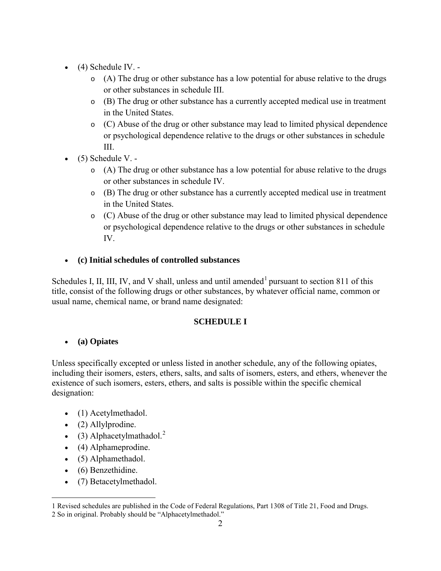- $\bullet$  (4) Schedule IV.
	- o (A) The drug or other substance has a low potential for abuse relative to the drugs or other substances in schedule III.
	- o (B) The drug or other substance has a currently accepted medical use in treatment in the United States.
	- $\circ$  (C) Abuse of the drug or other substance may lead to limited physical dependence or psychological dependence relative to the drugs or other substances in schedule III.
- $\bullet$  (5) Schedule V.
	- o (A) The drug or other substance has a low potential for abuse relative to the drugs or other substances in schedule IV.
	- o (B) The drug or other substance has a currently accepted medical use in treatment in the United States.
	- o (C) Abuse of the drug or other substance may lead to limited physical dependence or psychological dependence relative to the drugs or other substances in schedule IV.
- **(c) Initial schedules of controlled substances**

Schedules I, II, III, IV, and V shall, unless and until amended<sup>[1](#page-1-0)</sup> pursuant to section 811 of this title, consist of the following drugs or other substances, by whatever official name, common or usual name, chemical name, or brand name designated:

### **SCHEDULE I**

## • **(a) Opiates**

Unless specifically excepted or unless listed in another schedule, any of the following opiates, including their isomers, esters, ethers, salts, and salts of isomers, esters, and ethers, whenever the existence of such isomers, esters, ethers, and salts is possible within the specific chemical designation:

- (1) Acetylmethadol.
- (2) Allylprodine.
- (3) Alphacetylmathadol. $^{2}$  $^{2}$  $^{2}$
- (4) Alphameprodine.
- (5) Alphamethadol.
- (6) Benzethidine.
- (7) Betacetylmethadol.

<span id="page-1-1"></span><span id="page-1-0"></span> $\overline{a}$ 1 Revised schedules are published in the Code of Federal Regulations, Part 1308 of Title 21, Food and Drugs. 2 So in original. Probably should be "Alphacetylmethadol."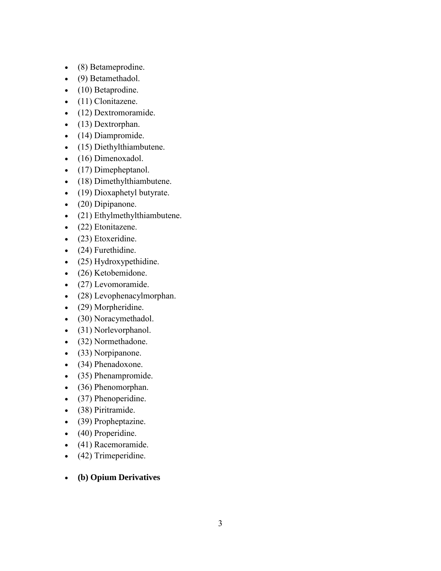- (8) Betameprodine.
- (9) Betamethadol.
- (10) Betaprodine.
- (11) Clonitazene.
- (12) Dextromoramide.
- (13) Dextrorphan.
- (14) Diampromide.
- (15) Diethylthiambutene.
- (16) Dimenoxadol.
- (17) Dimepheptanol.
- (18) Dimethylthiambutene.
- (19) Dioxaphetyl butyrate.
- (20) Dipipanone.
- (21) Ethylmethylthiambutene.
- (22) Etonitazene.
- (23) Etoxeridine.
- (24) Furethidine.
- (25) Hydroxypethidine.
- (26) Ketobemidone.
- (27) Levomoramide.
- (28) Levophenacylmorphan.
- (29) Morpheridine.
- (30) Noracymethadol.
- (31) Norlevorphanol.
- (32) Normethadone.
- (33) Norpipanone.
- (34) Phenadoxone.
- (35) Phenampromide.
- (36) Phenomorphan.
- (37) Phenoperidine.
- (38) Piritramide.
- (39) Propheptazine.
- (40) Properidine.
- (41) Racemoramide.
- (42) Trimeperidine.
- **(b) Opium Derivatives**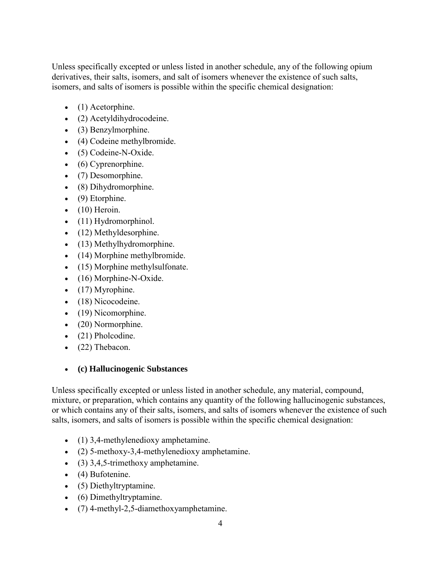Unless specifically excepted or unless listed in another schedule, any of the following opium derivatives, their salts, isomers, and salt of isomers whenever the existence of such salts, isomers, and salts of isomers is possible within the specific chemical designation:

- (1) Acetorphine.
- (2) Acetyldihydrocodeine.
- (3) Benzylmorphine.
- (4) Codeine methylbromide.
- (5) Codeine-N-Oxide.
- (6) Cyprenorphine.
- (7) Desomorphine.
- (8) Dihydromorphine.
- (9) Etorphine.
- $\bullet$  (10) Heroin.
- (11) Hydromorphinol.
- (12) Methyldesorphine.
- (13) Methylhydromorphine.
- (14) Morphine methylbromide.
- (15) Morphine methylsulfonate.
- (16) Morphine-N-Oxide.
- $\bullet$  (17) Myrophine.
- (18) Nicocodeine.
- (19) Nicomorphine.
- (20) Normorphine.
- (21) Pholcodine.
- (22) Thebacon.

### • **(c) Hallucinogenic Substances**

Unless specifically excepted or unless listed in another schedule, any material, compound, mixture, or preparation, which contains any quantity of the following hallucinogenic substances, or which contains any of their salts, isomers, and salts of isomers whenever the existence of such salts, isomers, and salts of isomers is possible within the specific chemical designation:

- (1) 3,4-methylenedioxy amphetamine.
- (2) 5-methoxy-3,4-methylenedioxy amphetamine.
- (3)  $3,4,5$ -trimethoxy amphetamine.
- (4) Bufotenine.
- (5) Diethyltryptamine.
- (6) Dimethyltryptamine.
- (7) 4-methyl-2,5-diamethoxyamphetamine.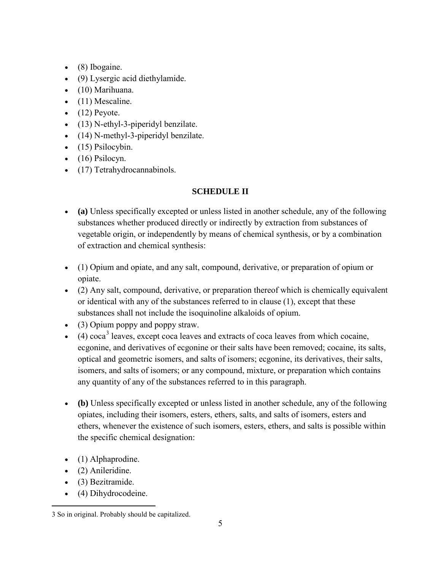- (8) Ibogaine.
- (9) Lysergic acid diethylamide.
- (10) Marihuana.
- $\bullet$  (11) Mescaline.
- $\bullet$  (12) Peyote.
- (13) N-ethyl-3-piperidyl benzilate.
- (14) N-methyl-3-piperidyl benzilate.
- $\bullet$  (15) Psilocybin.
- $\bullet$  (16) Psilocyn.
- (17) Tetrahydrocannabinols.

## **SCHEDULE II**

- **(a)** Unless specifically excepted or unless listed in another schedule, any of the following substances whether produced directly or indirectly by extraction from substances of vegetable origin, or independently by means of chemical synthesis, or by a combination of extraction and chemical synthesis:
- (1) Opium and opiate, and any salt, compound, derivative, or preparation of opium or opiate.
- (2) Any salt, compound, derivative, or preparation thereof which is chemically equivalent or identical with any of the substances referred to in clause (1), except that these substances shall not include the isoquinoline alkaloids of opium.
- (3) Opium poppy and poppy straw.
- $\bullet$  (4) coca<sup>[3](#page-4-0)</sup> leaves, except coca leaves and extracts of coca leaves from which cocaine, ecgonine, and derivatives of ecgonine or their salts have been removed; cocaine, its salts, optical and geometric isomers, and salts of isomers; ecgonine, its derivatives, their salts, isomers, and salts of isomers; or any compound, mixture, or preparation which contains any quantity of any of the substances referred to in this paragraph.
- **(b)** Unless specifically excepted or unless listed in another schedule, any of the following opiates, including their isomers, esters, ethers, salts, and salts of isomers, esters and ethers, whenever the existence of such isomers, esters, ethers, and salts is possible within the specific chemical designation:
- (1) Alphaprodine.
- (2) Anileridine.
- (3) Bezitramide.
- (4) Dihydrocodeine.

<span id="page-4-0"></span> $\overline{a}$ 3 So in original. Probably should be capitalized.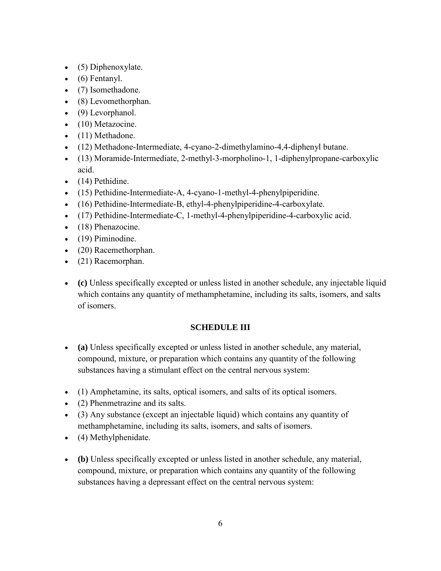- (5) Diphenoxylate.
- $\bullet$  (6) Fentanyl.
- (7) Isomethadone.
- (8) Levomethorphan.
- (9) Levorphanol.
- (10) Metazocine.
- (11) Methadone.
- (12) Methadone-Intermediate, 4-cyano-2-dimethylamino-4,4-diphenyl butane.
- (13) Moramide-Intermediate, 2-methyl-3-morpholino-1, 1-diphenylpropane-carboxylic acid.
- (14) Pethidine.
- (15) Pethidine-Intermediate-A, 4-cyano-1-methyl-4-phenylpiperidine.
- (16) Pethidine-Intermediate-B, ethyl-4-phenylpiperidine-4-carboxylate.
- (17) Pethidine-Intermediate-C, 1-methyl-4-phenylpiperidine-4-carboxylic acid.
- (18) Phenazocine.
- (19) Piminodine.
- (20) Racemethorphan.
- (21) Racemorphan.
- **(c)** Unless specifically excepted or unless listed in another schedule, any injectable liquid which contains any quantity of methamphetamine, including its salts, isomers, and salts of isomers.

### **SCHEDULE III**

- **(a)** Unless specifically excepted or unless listed in another schedule, any material, compound, mixture, or preparation which contains any quantity of the following substances having a stimulant effect on the central nervous system:
- (1) Amphetamine, its salts, optical isomers, and salts of its optical isomers.
- (2) Phenmetrazine and its salts.
- (3) Any substance (except an injectable liquid) which contains any quantity of methamphetamine, including its salts, isomers, and salts of isomers.
- (4) Methylphenidate.
- **(b)** Unless specifically excepted or unless listed in another schedule, any material, compound, mixture, or preparation which contains any quantity of the following substances having a depressant effect on the central nervous system: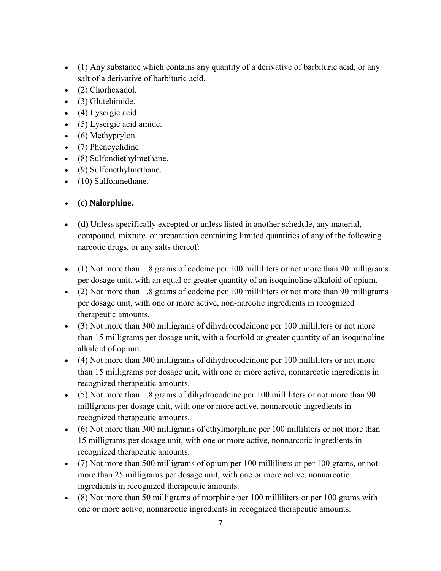- (1) Any substance which contains any quantity of a derivative of barbituric acid, or any salt of a derivative of barbituric acid.
- (2) Chorhexadol.
- (3) Glutehimide.
- (4) Lysergic acid.
- (5) Lysergic acid amide.
- (6) Methyprylon.
- (7) Phencyclidine.
- (8) Sulfondiethylmethane.
- (9) Sulfonethylmethane.
- (10) Sulfonmethane.

# • **(c) Nalorphine.**

- **(d)** Unless specifically excepted or unless listed in another schedule, any material, compound, mixture, or preparation containing limited quantities of any of the following narcotic drugs, or any salts thereof:
- (1) Not more than 1.8 grams of codeine per 100 milliliters or not more than 90 milligrams per dosage unit, with an equal or greater quantity of an isoquinoline alkaloid of opium.
- (2) Not more than 1.8 grams of codeine per 100 milliliters or not more than 90 milligrams per dosage unit, with one or more active, non-narcotic ingredients in recognized therapeutic amounts.
- (3) Not more than 300 milligrams of dihydrocodeinone per 100 milliliters or not more than 15 milligrams per dosage unit, with a fourfold or greater quantity of an isoquinoline alkaloid of opium.
- (4) Not more than 300 milligrams of dihydrocodeinone per 100 milliliters or not more than 15 milligrams per dosage unit, with one or more active, nonnarcotic ingredients in recognized therapeutic amounts.
- (5) Not more than 1.8 grams of dihydrocodeine per 100 milliliters or not more than 90 milligrams per dosage unit, with one or more active, nonnarcotic ingredients in recognized therapeutic amounts.
- (6) Not more than 300 milligrams of ethylmorphine per 100 milliliters or not more than 15 milligrams per dosage unit, with one or more active, nonnarcotic ingredients in recognized therapeutic amounts.
- (7) Not more than 500 milligrams of opium per 100 milliliters or per 100 grams, or not more than 25 milligrams per dosage unit, with one or more active, nonnarcotic ingredients in recognized therapeutic amounts.
- (8) Not more than 50 milligrams of morphine per 100 milliliters or per 100 grams with one or more active, nonnarcotic ingredients in recognized therapeutic amounts.